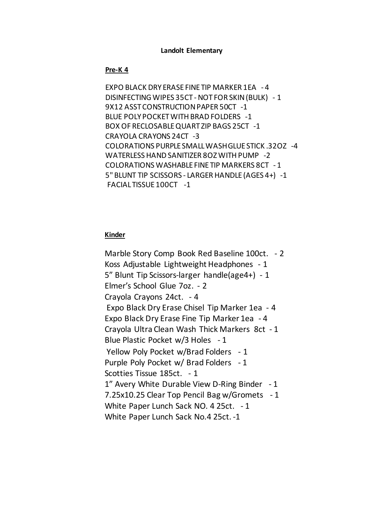#### **Landolt Elementary**

#### **Pre-K 4**

EXPO BLACK DRY ERASE FINE TIP MARKER 1EA - 4 DISINFECTING WIPES 35CT - NOT FOR SKIN (BULK) - 1 9X12 ASST CONSTRUCTION PAPER 50CT -1 BLUE POLY POCKET WITH BRAD FOLDERS -1 BOX OF RECLOSABLE QUART ZIP BAGS 25CT -1 CRAYOLA CRAYONS 24CT -3 COLORATIONS PURPLE SMALL WASH GLUE STICK .32OZ -4 WATERLESS HAND SANITIZER 8OZ WITH PUMP -2 COLORATIONS WASHABLE FINE TIP MARKERS 8CT - 1 5" BLUNT TIP SCISSORS - LARGER HANDLE (AGES 4+) -1 FACIAL TISSUE 100CT -1

#### **Kinder**

Marble Story Comp Book Red Baseline 100ct. - 2 Koss Adjustable Lightweight Headphones - 1 5" Blunt Tip Scissors-larger handle(age4+) - 1 Elmer's School Glue 7oz. - 2 Crayola Crayons 24ct. - 4 Expo Black Dry Erase Chisel Tip Marker 1ea - 4 Expo Black Dry Erase Fine Tip Marker 1ea - 4 Crayola Ultra Clean Wash Thick Markers 8ct - 1 Blue Plastic Pocket w/3 Holes - 1 Yellow Poly Pocket w/Brad Folders - 1 Purple Poly Pocket w/ Brad Folders - 1 Scotties Tissue 185ct. - 1 1" Avery White Durable View D-Ring Binder - 1 7.25x10.25 Clear Top Pencil Bag w/Gromets - 1 White Paper Lunch Sack NO. 4 25ct. - 1 White Paper Lunch Sack No.4 25ct. -1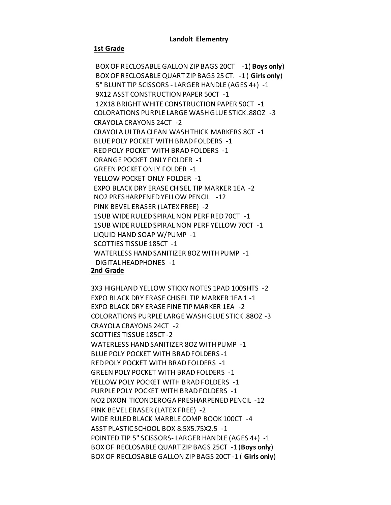#### **Landolt Elementry**

#### **1st Grade**

BOX OF RECLOSABLE GALLON ZIP BAGS 20CT -1( **Boys only**) BOX OF RECLOSABLE QUART ZIP BAGS 25 CT. -1 ( **Girls only**) 5" BLUNT TIP SCISSORS - LARGER HANDLE (AGES 4+) -1 9X12 ASST CONSTRUCTION PAPER 50CT -1 12X18 BRIGHT WHITE CONSTRUCTION PAPER 50CT -1 COLORATIONS PURPLE LARGE WASH GLUE STICK .88OZ -3 CRAYOLA CRAYONS 24CT -2 CRAYOLA ULTRA CLEAN WASH THICK MARKERS 8CT -1 BLUE POLY POCKET WITH BRAD FOLDERS -1 RED POLY POCKET WITH BRAD FOLDERS -1 ORANGE POCKET ONLY FOLDER -1 GREEN POCKET ONLY FOLDER -1 YELLOW POCKET ONLY FOLDER -1 EXPO BLACK DRY ERASE CHISEL TIP MARKER 1EA -2 NO2 PRESHARPENED YELLOW PENCIL -12 PINK BEVEL ERASER (LATEX FREE) -2 1SUB WIDE RULED SPIRAL NON PERF RED 70CT -1 1SUB WIDE RULED SPIRAL NON PERF YELLOW 70CT -1 LIQUID HAND SOAP W/PUMP -1 SCOTTIES TISSUE 185CT -1 WATERLESS HAND SANITIZER 8OZ WITH PUMP -1 DIGITAL HEADPHONES -1

# **2nd Grade**

3X3 HIGHLAND YELLOW STICKY NOTES 1PAD 100SHTS -2 EXPO BLACK DRY ERASE CHISEL TIP MARKER 1EA 1 -1 EXPO BLACK DRY ERASE FINE TIP MARKER 1EA -2 COLORATIONS PURPLE LARGE WASH GLUE STICK .88OZ -3 CRAYOLA CRAYONS 24CT -2 SCOTTIES TISSUE 185CT -2 WATERLESS HAND SANITIZER 8OZ WITH PUMP -1 BLUE POLY POCKET WITH BRAD FOLDERS -1 RED POLY POCKET WITH BRAD FOLDERS -1 GREEN POLY POCKET WITH BRAD FOLDERS -1 YELLOW POLY POCKET WITH BRAD FOLDERS -1 PURPLE POLY POCKET WITH BRAD FOLDERS -1 NO2 DIXON TICONDEROGA PRESHARPENED PENCIL -12 PINK BEVEL ERASER (LATEX FREE) -2 WIDE RULED BLACK MARBLE COMP BOOK 100CT -4 ASST PLASTIC SCHOOL BOX 8.5X5.75X2.5 -1 POINTED TIP 5" SCISSORS- LARGER HANDLE (AGES 4+) -1 BOX OF RECLOSABLE QUART ZIP BAGS 25CT -1 (**Boys only**) BOXOF RECLOSABLE GALLON ZIP BAGS 20CT -1 ( **Girls only**)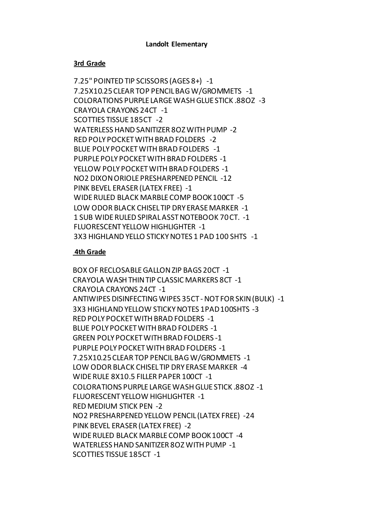# **Landolt Elementary**

# **3rd Grade**

7.25" POINTED TIP SCISSORS (AGES 8+) -1 7.25X10.25 CLEAR TOP PENCIL BAG W/GROMMETS -1 COLORATIONS PURPLE LARGE WASH GLUE STICK .88OZ -3 CRAYOLA CRAYONS 24CT -1 SCOTTIES TISSUE 185CT -2 WATERLESS HAND SANITIZER 8OZ WITH PUMP -2 RED POLY POCKET WITH BRAD FOLDERS -2 BLUE POLY POCKET WITH BRAD FOLDERS -1 PURPLE POLY POCKET WITH BRAD FOLDERS -1 YELLOW POLY POCKET WITH BRAD FOLDERS -1 NO2 DIXON ORIOLE PRESHARPENED PENCIL -12 PINK BEVEL ERASER (LATEX FREE) -1 WIDE RULED BLACK MARBLE COMP BOOK 100CT -5 LOW ODOR BLACK CHISEL TIP DRY ERASE MARKER -1 1 SUB WIDE RULED SPIRAL ASST NOTEBOOK 70 CT. -1 FLUORESCENT YELLOW HIGHLIGHTER -1 3X3 HIGHLAND YELLO STICKY NOTES 1 PAD 100 SHTS -1

# **4th Grade**

BOX OF RECLOSABLE GALLON ZIP BAGS 20CT -1 CRAYOLA WASH THIN TIP CLASSIC MARKERS 8CT -1 CRAYOLA CRAYONS 24CT -1 ANTIWIPES DISINFECTING WIPES 35CT -NOT FOR SKIN (BULK) -1 3X3 HIGHLAND YELLOW STICKY NOTES 1PAD 100SHTS -3 RED POLY POCKET WITH BRAD FOLDERS -1 BLUE POLY POCKET WITH BRAD FOLDERS -1 GREEN POLY POCKET WITH BRAD FOLDERS -1 PURPLE POLY POCKET WITH BRAD FOLDERS -1 7.25X10.25 CLEAR TOP PENCIL BAG W/GROMMETS -1 LOW ODOR BLACK CHISEL TIP DRY ERASE MARKER -4 WIDE RULE 8X10.5 FILLER PAPER 100CT -1 COLORATIONS PURPLE LARGE WASH GLUE STICK .88OZ -1 FLUORESCENT YELLOW HIGHLIGHTER -1 RED MEDIUM STICK PEN -2 NO2 PRESHARPENED YELLOW PENCIL (LATEX FREE) -24 PINK BEVEL ERASER (LATEX FREE) -2 WIDE RULED BLACK MARBLE COMP BOOK 100CT -4 WATERLESS HAND SANITIZER 8OZ WITH PUMP -1 SCOTTIES TISSUE 185CT -1